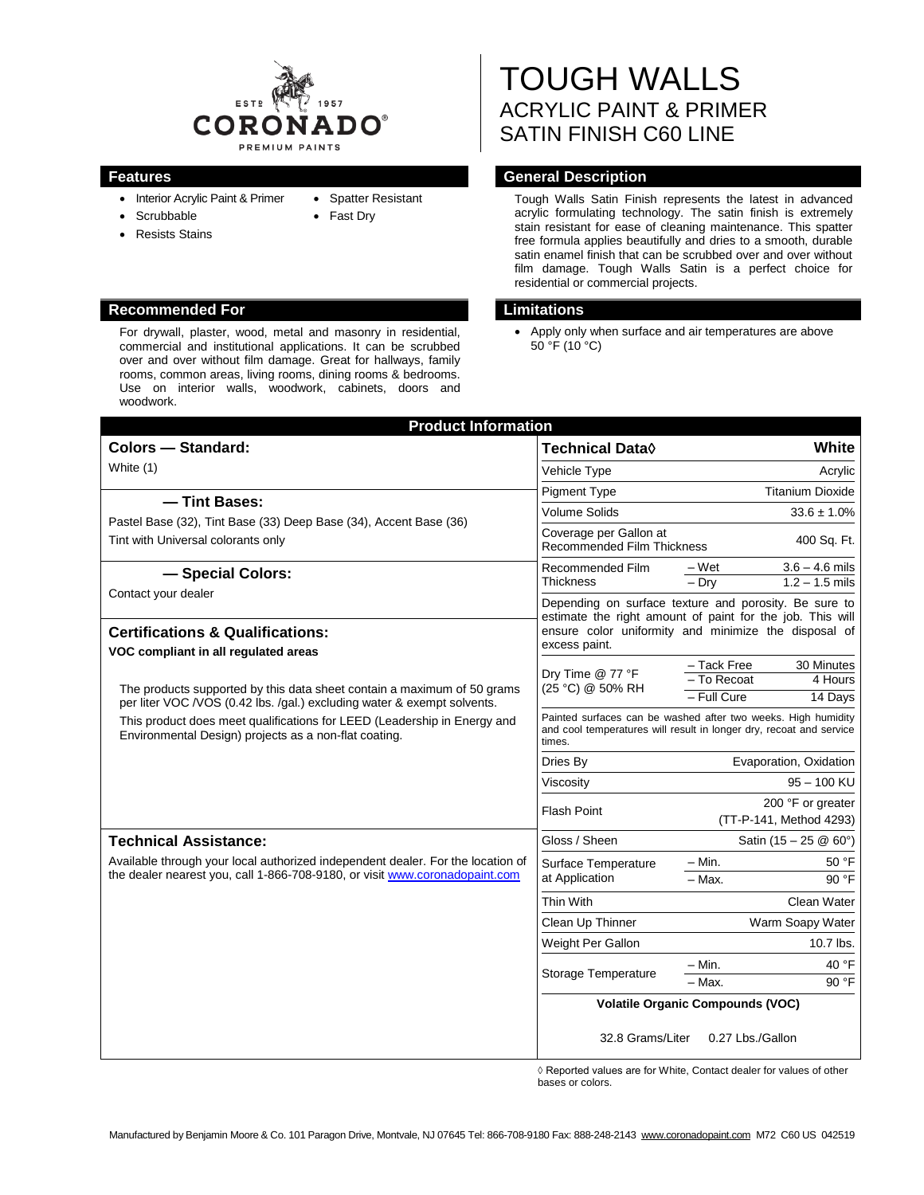

- Interior Acrylic Paint & Primer
- **Scrubbable**
- Resists Stains
- Spatter Resistant
- Fast Dry

### **Recommended For Limitations**

For drywall, plaster, wood, metal and masonry in residential, commercial and institutional applications. It can be scrubbed over and over without film damage. Great for hallways, family rooms, common areas, living rooms, dining rooms & bedrooms. Use on interior walls, woodwork, cabinets, doors and woodwork.

# TOUGH WALLS ACRYLIC PAINT & PRIMER SATIN FINISH C60 LINE

# **Features General Description**

Tough Walls Satin Finish represents the latest in advanced acrylic formulating technology. The satin finish is extremely stain resistant for ease of cleaning maintenance. This spatter free formula applies beautifully and dries to a smooth, durable satin enamel finish that can be scrubbed over and over without film damage. Tough Walls Satin is a perfect choice for residential or commercial projects.

 Apply only when surface and air temperatures are above 50 °F (10 °C)

| <b>Product Information</b>                                                                                                                                     |                                                                                                                                                                                             |                                                          |
|----------------------------------------------------------------------------------------------------------------------------------------------------------------|---------------------------------------------------------------------------------------------------------------------------------------------------------------------------------------------|----------------------------------------------------------|
| <b>Colors - Standard:</b>                                                                                                                                      | Technical Data $\Diamond$                                                                                                                                                                   | White                                                    |
| White (1)                                                                                                                                                      | Vehicle Type                                                                                                                                                                                | Acrylic                                                  |
|                                                                                                                                                                | <b>Pigment Type</b>                                                                                                                                                                         | <b>Titanium Dioxide</b>                                  |
| - Tint Bases:<br>Pastel Base (32), Tint Base (33) Deep Base (34), Accent Base (36)<br>Tint with Universal colorants only                                       | <b>Volume Solids</b>                                                                                                                                                                        | $33.6 \pm 1.0\%$                                         |
|                                                                                                                                                                | Coverage per Gallon at<br><b>Recommended Film Thickness</b>                                                                                                                                 | 400 Sq. Ft.                                              |
| - Special Colors:<br>Contact your dealer                                                                                                                       | Recommended Film<br><b>Thickness</b>                                                                                                                                                        | $3.6 - 4.6$ mils<br>– Wet<br>$-$ Drv<br>$1.2 - 1.5$ mils |
|                                                                                                                                                                | Depending on surface texture and porosity. Be sure to<br>estimate the right amount of paint for the job. This will<br>ensure color uniformity and minimize the disposal of<br>excess paint. |                                                          |
| <b>Certifications &amp; Qualifications:</b><br>VOC compliant in all regulated areas                                                                            |                                                                                                                                                                                             |                                                          |
|                                                                                                                                                                | Dry Time @ 77 °F<br>(25 °C) @ 50% RH                                                                                                                                                        | - Tack Free<br>30 Minutes<br>- To Recoat<br>4 Hours      |
| The products supported by this data sheet contain a maximum of 50 grams<br>per liter VOC /VOS (0.42 lbs./gal.) excluding water & exempt solvents.              |                                                                                                                                                                                             | - Full Cure<br>14 Days                                   |
| This product does meet qualifications for LEED (Leadership in Energy and<br>Environmental Design) projects as a non-flat coating.                              | Painted surfaces can be washed after two weeks. High humidity<br>and cool temperatures will result in longer dry, recoat and service<br>times.                                              |                                                          |
|                                                                                                                                                                | Dries By                                                                                                                                                                                    | Evaporation, Oxidation                                   |
|                                                                                                                                                                | Viscosity                                                                                                                                                                                   | $95 - 100$ KU                                            |
|                                                                                                                                                                | <b>Flash Point</b>                                                                                                                                                                          | 200 °F or greater<br>(TT-P-141, Method 4293)             |
| <b>Technical Assistance:</b>                                                                                                                                   | Gloss / Sheen                                                                                                                                                                               | Satin $(15 - 25 \& 60^{\circ})$                          |
| Available through your local authorized independent dealer. For the location of<br>the dealer nearest you, call 1-866-708-9180, or visit www.coronadopaint.com | Surface Temperature<br>at Application                                                                                                                                                       | – Min.<br>50 °F                                          |
|                                                                                                                                                                |                                                                                                                                                                                             | 90 °F<br>$-$ Max.                                        |
|                                                                                                                                                                | Thin With                                                                                                                                                                                   | Clean Water                                              |
|                                                                                                                                                                | Clean Up Thinner                                                                                                                                                                            | Warm Soapy Water                                         |
|                                                                                                                                                                | Weight Per Gallon                                                                                                                                                                           | $10.7$ lbs.                                              |
|                                                                                                                                                                | Storage Temperature                                                                                                                                                                         | 40 °F<br>– Min.<br>$-$ Max.<br>90 °F                     |
|                                                                                                                                                                | <b>Volatile Organic Compounds (VOC)</b>                                                                                                                                                     |                                                          |
|                                                                                                                                                                | 32.8 Grams/Liter                                                                                                                                                                            | 0.27 Lbs./Gallon                                         |

◊ Reported values are for White, Contact dealer for values of other bases or colors.